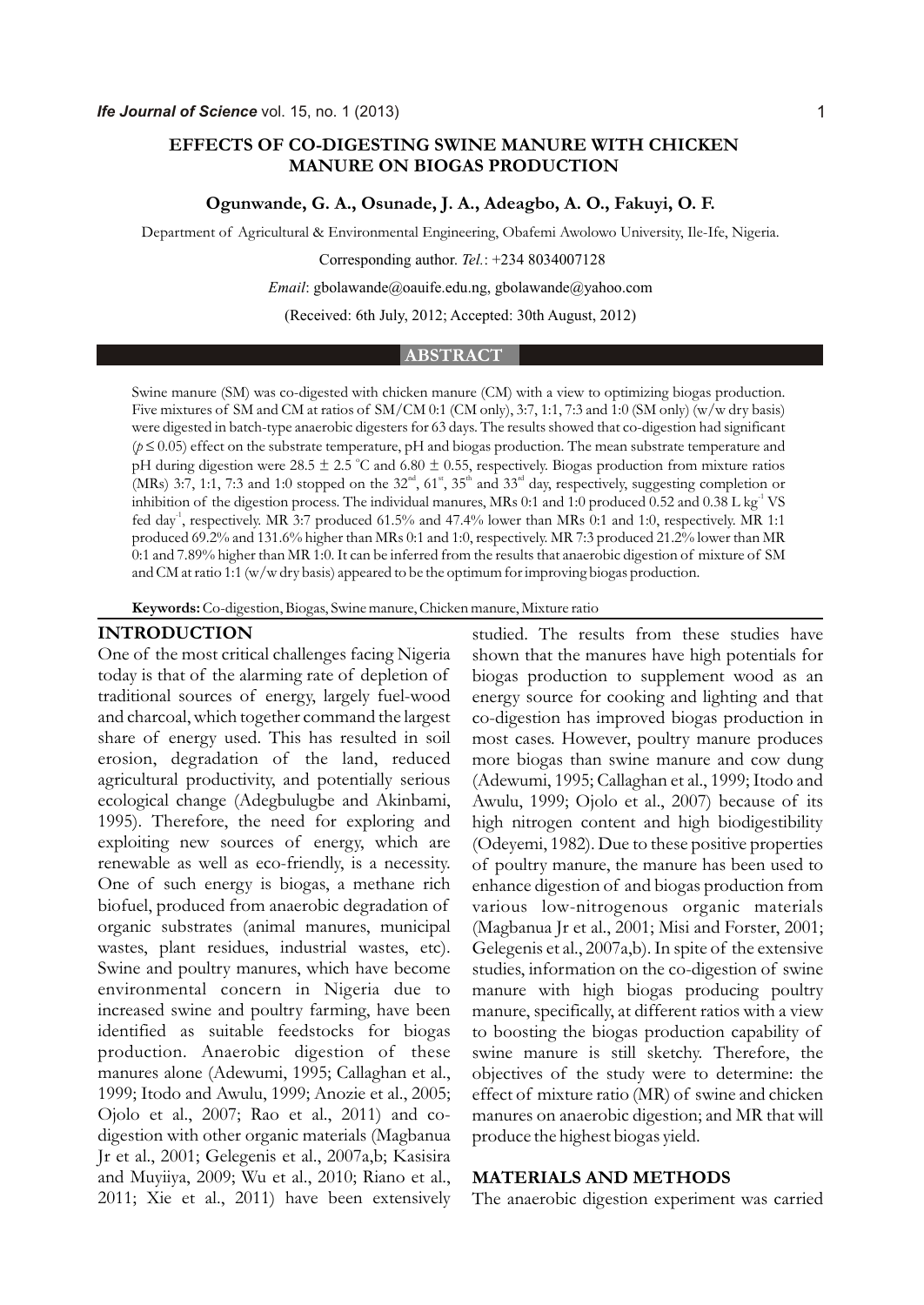# **EFFECTS OF CO-DIGESTING SWINE MANURE WITH CHICKEN MANURE ON BIOGAS PRODUCTION**

#### **Ogunwande, G. A., Osunade, J. A., Adeagbo, A. O., Fakuyi, O. F.**

Department of Agricultural & Environmental Engineering, Obafemi Awolowo University, Ile-Ife, Nigeria.

Corresponding author. *Tel.*: +234 8034007128

#### *Email*: gbolawande@oauife.edu.ng, gbolawande@yahoo.com

(Received: 6th July, 2012; Accepted: 30th August, 2012)

#### **ABSTRACT**

Swine manure (SM) was co-digested with chicken manure (CM) with a view to optimizing biogas production. Five mixtures of SM and CM at ratios of SM/CM 0:1 (CM only), 3:7, 1:1, 7:3 and 1:0 (SM only) (w/w dry basis) were digested in batch-type anaerobic digesters for 63 days. The results showed that co-digestion had significant (*p* 0.05) effect on the substrate temperature, pH and biogas production. The mean substrate temperature and pH during digestion were 28.5  $\pm$  2.5 °C and 6.80  $\pm$  0.55, respectively. Biogas production from mixture ratios (MRs) 3:7, 1:1, 7:3 and 1:0 stopped on the  $32<sup>nd</sup>$ , 61<sup>s</sup>, 35<sup>th</sup> and 33<sup>rd</sup> day, respectively, suggesting completion or inhibition of the digestion process. The individual manures, MRs 0:1 and 1:0 produced 0.52 and 0.38 L kg<sup>-1</sup> VS fed day<sup>-1</sup>, respectively. MR 3:7 produced 61.5% and 47.4% lower than MRs 0:1 and 1:0, respectively. MR 1:1 produced 69.2% and 131.6% higher than MRs 0:1 and 1:0, respectively. MR 7:3 produced 21.2% lower than MR 0:1 and 7.89% higher than MR 1:0. It can be inferred from the results that anaerobic digestion of mixture of SM and CM at ratio 1:1 (w/w dry basis) appeared to be the optimum for improving biogas production.

**Keywords:** Co-digestion, Biogas, Swine manure, Chicken manure, Mixture ratio

#### **INTRODUCTION**

One of the most critical challenges facing Nigeria today is that of the alarming rate of depletion of traditional sources of energy, largely fuel-wood and charcoal, which together command the largest share of energy used. This has resulted in soil erosion, degradation of the land, reduced agricultural productivity, and potentially serious ecological change (Adegbulugbe and Akinbami, 1995). Therefore, the need for exploring and exploiting new sources of energy, which are renewable as well as eco-friendly, is a necessity. One of such energy is biogas, a methane rich biofuel, produced from anaerobic degradation of organic substrates (animal manures, municipal wastes, plant residues, industrial wastes, etc). Swine and poultry manures, which have become environmental concern in Nigeria due to increased swine and poultry farming, have been identified as suitable feedstocks for biogas production. Anaerobic digestion of these manures alone (Adewumi, 1995; Callaghan et al., 1999; Itodo and Awulu, 1999; Anozie et al., 2005; Ojolo et al., 2007; Rao et al., 2011) and codigestion with other organic materials (Magbanua Jr et al., 2001; Gelegenis et al., 2007a,b; Kasisira and Muyiiya, 2009; Wu et al., 2010; Riano et al., 2011; Xie et al., 2011) have been extensively

studied. The results from these studies have shown that the manures have high potentials for biogas production to supplement wood as an energy source for cooking and lighting and that co-digestion has improved biogas production in most cases. However, poultry manure produces more biogas than swine manure and cow dung (Adewumi, 1995; Callaghan et al., 1999; Itodo and Awulu, 1999; Ojolo et al., 2007) because of its high nitrogen content and high biodigestibility (Odeyemi, 1982). Due to these positive properties of poultry manure, the manure has been used to enhance digestion of and biogas production from various low-nitrogenous organic materials (Magbanua Jr et al., 2001; Misi and Forster, 2001; Gelegenis et al., 2007a,b). In spite of the extensive studies, information on the co-digestion of swine manure with high biogas producing poultry manure, specifically, at different ratios with a view to boosting the biogas production capability of swine manure is still sketchy. Therefore, the objectives of the study were to determine: the effect of mixture ratio (MR) of swine and chicken manures on anaerobic digestion; and MR that will produce the highest biogas yield.

### **MATERIALS AND METHODS**

The anaerobic digestion experiment was carried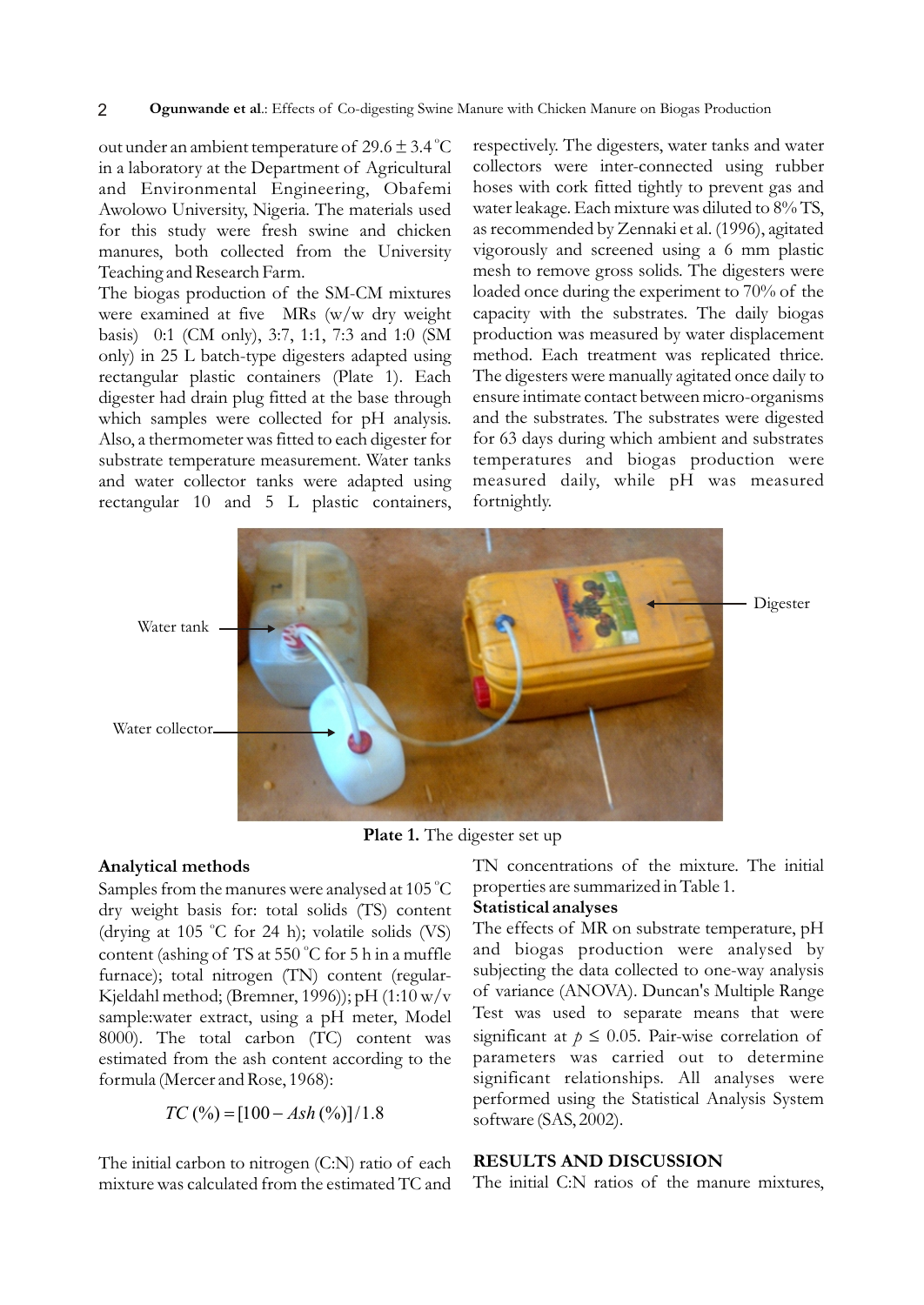#### 2 **Ogunwande et al**.: Effects of Co-digesting Swine Manure with Chicken Manure on Biogas Production

out under an ambient temperature of  $29.6 \pm 3.4\,^{\circ}\text{C}$ in a laboratory at the Department of Agricultural and Environmental Engineering, Obafemi Awolowo University, Nigeria. The materials used for this study were fresh swine and chicken manures, both collected from the University Teaching and Research Farm.

The biogas production of the SM-CM mixtures were examined at five MRs (w/w dry weight basis) 0:1 (CM only), 3:7, 1:1, 7:3 and 1:0 (SM only) in 25 L batch-type digesters adapted using rectangular plastic containers (Plate 1). Each digester had drain plug fitted at the base through which samples were collected for pH analysis. Also, a thermometer was fitted to each digester for substrate temperature measurement. Water tanks and water collector tanks were adapted using rectangular 10 and 5 L plastic containers, respectively. The digesters, water tanks and water collectors were inter-connected using rubber hoses with cork fitted tightly to prevent gas and water leakage. Each mixture was diluted to 8% TS, as recommended by Zennaki et al. (1996), agitated vigorously and screened using a 6 mm plastic mesh to remove gross solids. The digesters were loaded once during the experiment to 70% of the capacity with the substrates. The daily biogas production was measured by water displacement method. Each treatment was replicated thrice. The digesters were manually agitated once daily to ensure intimate contact between micro-organisms and the substrates. The substrates were digested for 63 days during which ambient and substrates temperatures and biogas production were measured daily, while pH was measured fortnightly.



**Plate 1.** The digester set up

## **Analytical methods**

Samples from the manures were analysed at 105 °C dry weight basis for: total solids (TS) content (drying at 105 °C for 24 h); volatile solids (VS) content (ashing of TS at 550 °C for 5 h in a muffle furnace); total nitrogen (TN) content (regular-Kjeldahl method; (Bremner, 1996)); pH (1:10 w/v sample:water extract, using a pH meter, Model 8000). The total carbon (TC) content was estimated from the ash content according to the formula (Mercer and Rose, 1968):

$$
TC\,(\%) \quad [100 \quad Ash\,(\%)]/1.8
$$

The initial carbon to nitrogen (C:N) ratio of each mixture was calculated from the estimated TC and

TN concentrations of the mixture. The initial properties are summarized in Table 1.

## **Statistical analyses**

The effects of MR on substrate temperature, pH and biogas production were analysed by subjecting the data collected to one-way analysis of variance (ANOVA). Duncan's Multiple Range Test was used to separate means that were significant at *p* 0.05. Pair-wise correlation of parameters was carried out to determine significant relationships. All analyses were performed using the Statistical Analysis System software (SAS, 2002).

## **RESULTS AND DISCUSSION**

The initial C:N ratios of the manure mixtures,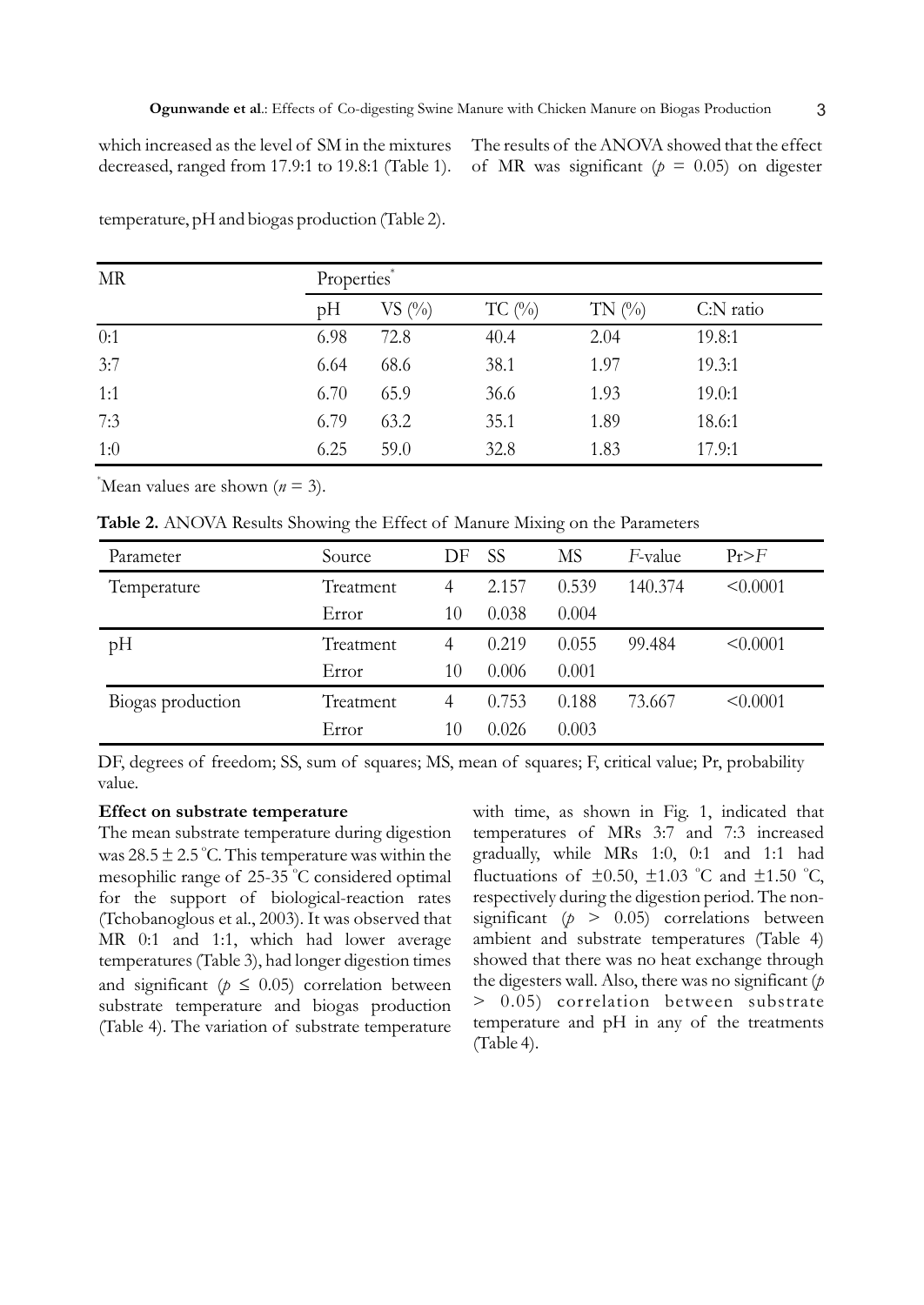which increased as the level of SM in the mixtures decreased, ranged from 17.9:1 to 19.8:1 (Table 1). The results of the ANOVA showed that the effect of MR was significant ( $p = 0.05$ ) on digester

| <b>MR</b> | Properties* |                                 |          |           |           |  |
|-----------|-------------|---------------------------------|----------|-----------|-----------|--|
|           | pH          | $VS$ $\left(\frac{0}{0}\right)$ | $TC$ (%) | TN $(\%)$ | C:N ratio |  |
| 0:1       | 6.98        | 72.8                            | 40.4     | 2.04      | 19.8:1    |  |
| 3:7       | 6.64        | 68.6                            | 38.1     | 1.97      | 19.3:1    |  |
| 1:1       | 6.70        | 65.9                            | 36.6     | 1.93      | 19.0:1    |  |
| 7:3       | 6.79        | 63.2                            | 35.1     | 1.89      | 18.6:1    |  |
| 1:0       | 6.25        | 59.0                            | 32.8     | 1.83      | 17.9:1    |  |

temperature, pH and biogas production (Table 2).

\*Mean values are shown  $(n = 3)$ .

**Table 2.** ANOVA Results Showing the Effect of Manure Mixing on the Parameters

| Parameter         | Source    | DF | <b>SS</b> | <b>MS</b> | F-value | Pr>F     |
|-------------------|-----------|----|-----------|-----------|---------|----------|
| Temperature       | Treatment | 4  | 2.157     | 0.539     | 140.374 | < 0.0001 |
|                   | Error     | 10 | 0.038     | 0.004     |         |          |
| pH                | Treatment | 4  | 0.219     | 0.055     | 99.484  | < 0.0001 |
|                   | Error     | 10 | 0.006     | 0.001     |         |          |
| Biogas production | Treatment | 4  | 0.753     | 0.188     | 73.667  | < 0.0001 |
|                   | Error     | 10 | 0.026     | 0.003     |         |          |

DF, degrees of freedom; SS, sum of squares; MS, mean of squares; F, critical value; Pr, probability value.

### **Effect on substrate temperature**

The mean substrate temperature during digestion was  $28.5 \pm 2.5$  °C. This temperature was within the mesophilic range of  $25-35$  °C considered optimal for the support of biological-reaction rates (Tchobanoglous et al., 2003). It was observed that MR 0:1 and 1:1, which had lower average temperatures (Table 3), had longer digestion times and significant  $(p \t 0.05)$  correlation between substrate temperature and biogas production (Table 4). The variation of substrate temperature with time, as shown in Fig. 1, indicated that temperatures of MRs 3:7 and 7:3 increased gradually, while MRs 1:0, 0:1 and 1:1 had fluctuations of  $\pm 0.50$ ,  $\pm 1.03$  °C and  $\pm 1.50$  °C, respectively during the digestion period. The nonsignificant  $(p > 0.05)$  correlations between ambient and substrate temperatures (Table 4) showed that there was no heat exchange through the digesters wall. Also, there was no significant (*p* > 0.05) correlation between substrate temperature and pH in any of the treatments (Table 4).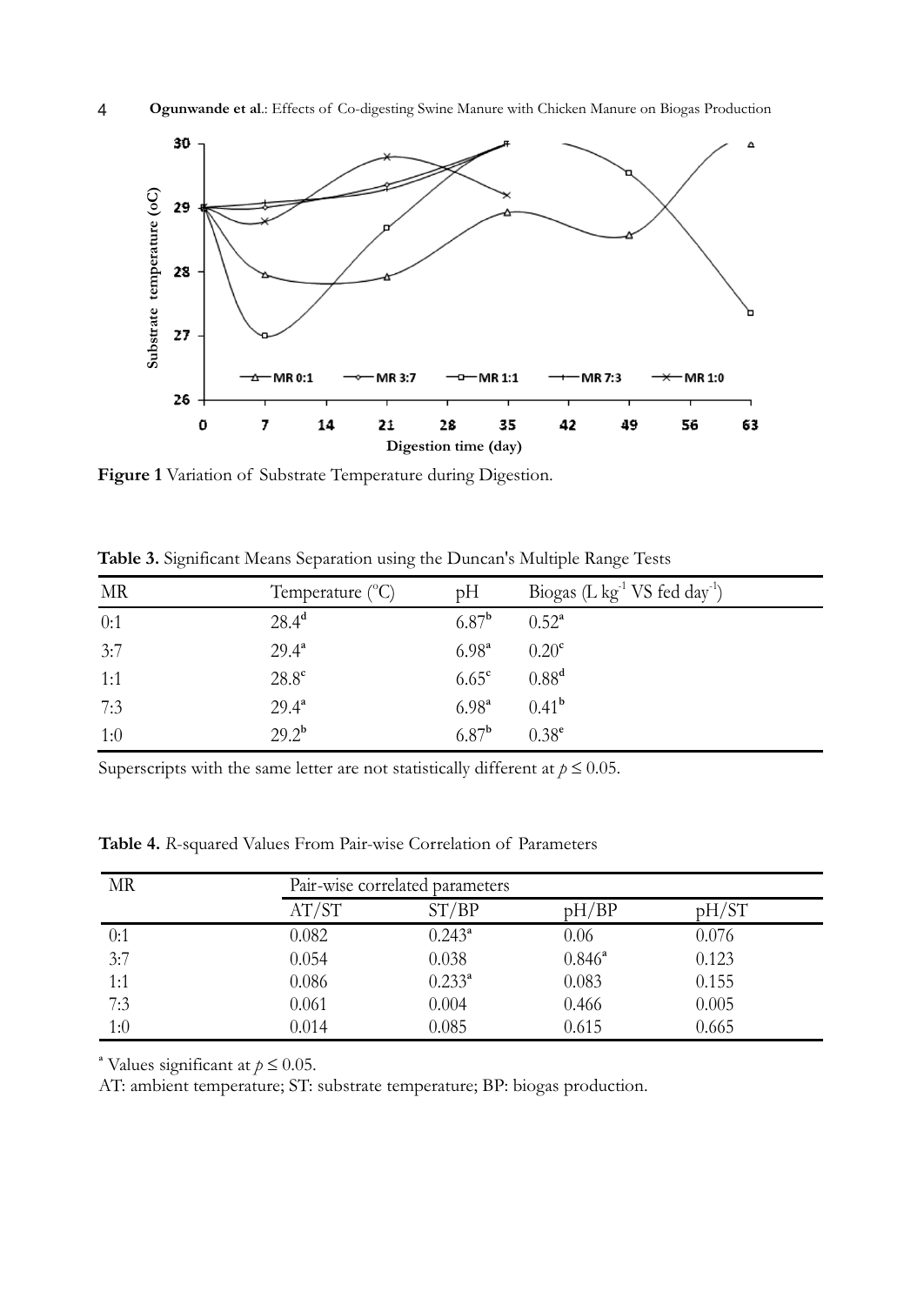



**Figure 1** Variation of Substrate Temperature during Digestion.

| MR  | Temperature $(^{\circ}C)$ | pH             | Biogas (L $kg^{-1}$ VS fed day <sup>-1</sup> ) |
|-----|---------------------------|----------------|------------------------------------------------|
| 0:1 | 28.4 <sup>d</sup>         | $6.87^{b}$     | $0.52^{\circ}$                                 |
| 3:7 | $29.4^a$                  | $6.98^{a}$     | 0.20 <sup>c</sup>                              |
| 1:1 | $28.8^{\circ}$            | $6.65^{\circ}$ | 0.88 <sup>d</sup>                              |
| 7:3 | $29.4^{\circ}$            | $6.98^{a}$     | $0.41^{b}$                                     |
| 1:0 | $29.2^{b}$                | $6.87^{b}$     | $0.38^{e}$                                     |

**Table 3.** Significant Means Separation using the Duncan's Multiple Range Tests

Superscripts with the same letter are not statistically different at  $p = 0.05$ .

**Table 4.** *R*-squared Values From Pair-wise Correlation of Parameters

| MR  | Pair-wise correlated parameters |             |           |       |  |
|-----|---------------------------------|-------------|-----------|-------|--|
|     | AT/ST                           | ST/BP       | pH/BP     | pH/ST |  |
| 0:1 | 0.082                           | $0.243^a$   | 0.06      | 0.076 |  |
| 3:7 | 0.054                           | 0.038       | $0.846^a$ | 0.123 |  |
| 1:1 | 0.086                           | $0.233^{a}$ | 0.083     | 0.155 |  |
| 7:3 | 0.061                           | 0.004       | 0.466     | 0.005 |  |
| 1:0 | 0.014                           | 0.085       | 0.615     | 0.665 |  |

<sup>a</sup> Values significant at  $p = 0.05$ .

AT: ambient temperature; ST: substrate temperature; BP: biogas production.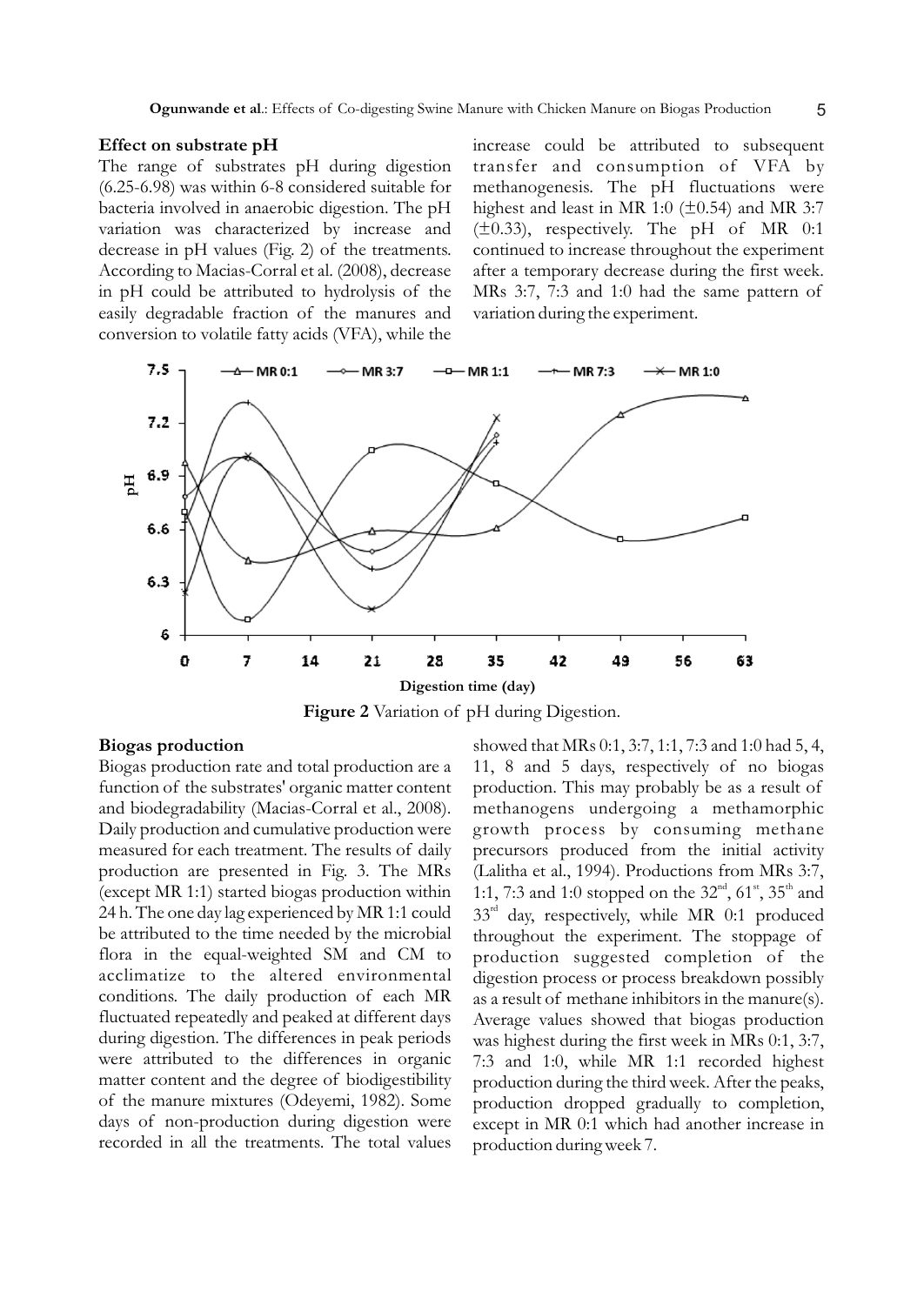#### **Effect on substrate pH**

The range of substrates pH during digestion (6.25-6.98) was within 6-8 considered suitable for bacteria involved in anaerobic digestion. The pH variation was characterized by increase and decrease in pH values (Fig. 2) of the treatments. According to Macias-Corral et al. (2008), decrease in pH could be attributed to hydrolysis of the easily degradable fraction of the manures and conversion to volatile fatty acids (VFA), while the increase could be attributed to subsequent transfer and consumption of VFA by methanogenesis. The pH fluctuations were highest and least in MR 1:0 ( $\pm$ 0.54) and MR 3:7  $(\pm 0.33)$ , respectively. The pH of MR 0:1 continued to increase throughout the experiment after a temporary decrease during the first week. MRs 3:7, 7:3 and 1:0 had the same pattern of variation during the experiment.



**Figure 2** Variation of pH during Digestion.

### **Biogas production**

Biogas production rate and total production are a function of the substrates' organic matter content and biodegradability (Macias-Corral et al., 2008). Daily production and cumulative production were measured for each treatment. The results of daily production are presented in Fig. 3. The MRs (except MR 1:1) started biogas production within 24 h. The one day lag experienced by MR 1:1 could be attributed to the time needed by the microbial flora in the equal-weighted SM and CM to acclimatize to the altered environmental conditions. The daily production of each MR fluctuated repeatedly and peaked at different days during digestion. The differences in peak periods were attributed to the differences in organic matter content and the degree of biodigestibility of the manure mixtures (Odeyemi, 1982). Some days of non-production during digestion were recorded in all the treatments. The total values

showed that MRs 0:1, 3:7, 1:1, 7:3 and 1:0 had 5, 4, 11, 8 and 5 days, respectively of no biogas production. This may probably be as a result of methanogens undergoing a methamorphic growth process by consuming methane precursors produced from the initial activity (Lalitha et al., 1994). Productions from MRs 3:7, 1:1, 7:3 and 1:0 stopped on the  $32<sup>nd</sup>$ ,  $61<sup>st</sup>$ ,  $35<sup>th</sup>$  and  $33<sup>rd</sup>$  day, respectively, while MR 0:1 produced throughout the experiment. The stoppage of production suggested completion of the digestion process or process breakdown possibly as a result of methane inhibitors in the manure(s). Average values showed that biogas production was highest during the first week in MRs 0:1, 3:7, 7:3 and 1:0, while MR 1:1 recorded highest production during the third week. After the peaks, production dropped gradually to completion, except in MR 0:1 which had another increase in production during week 7.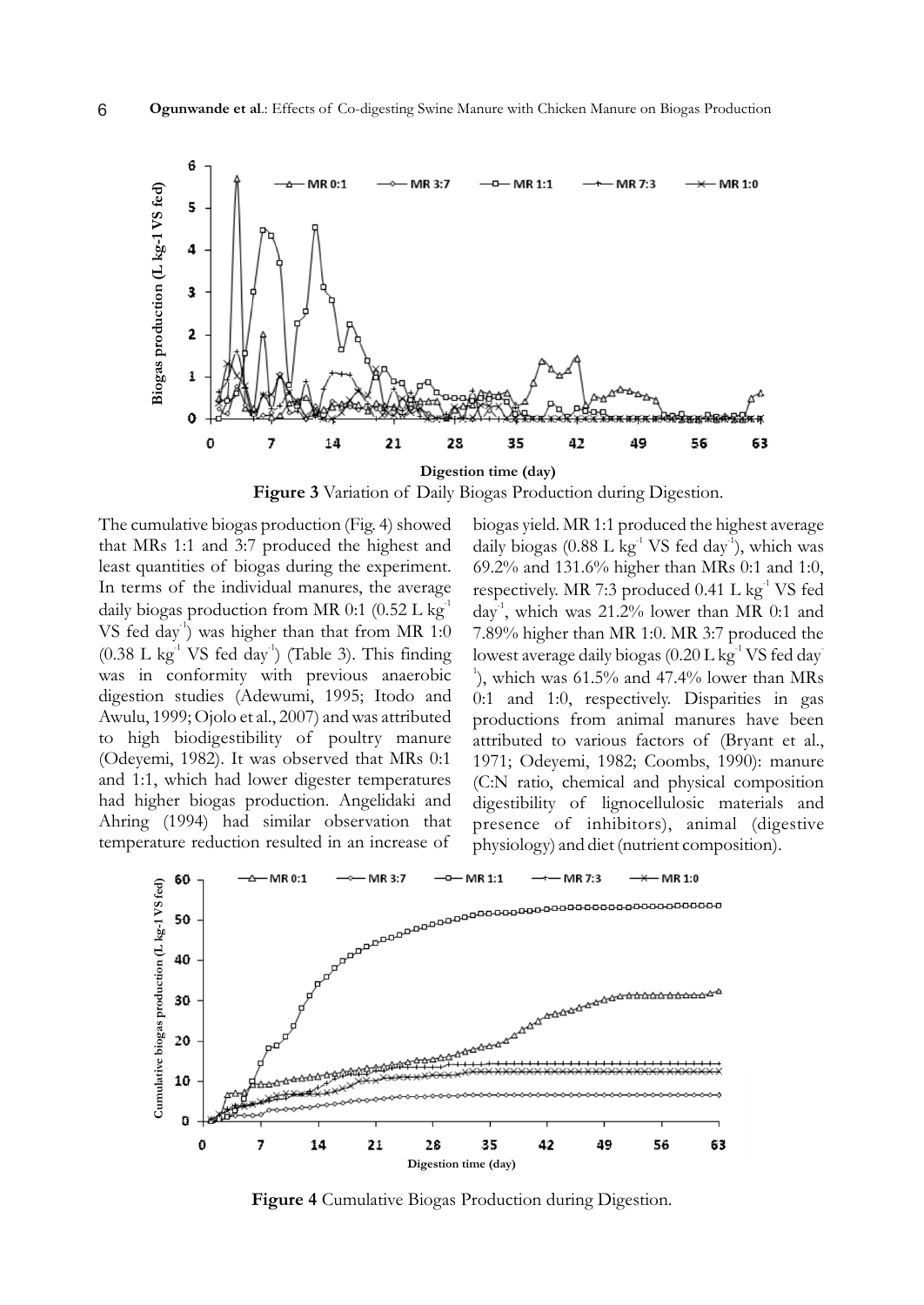

**Figure 3** Variation of Daily Biogas Production during Digestion.

The cumulative biogas production (Fig. 4) showed that MRs 1:1 and 3:7 produced the highest and least quantities of biogas during the experiment. In terms of the individual manures, the average daily biogas production from MR  $0:1$   $(0.52$  L kg VS fed day<sup>-1</sup>) was higher than that from MR 1:0  $(0.38 \text{ L kg}^{-1} \text{ VS fed day}^{-1})$  (Table 3). This finding was in conformity with previous anaerobic digestion studies (Adewumi, 1995; Itodo and Awulu, 1999; Ojolo et al., 2007) and was attributed to high biodigestibility of poultry manure (Odeyemi, 1982). It was observed that MRs 0:1 and 1:1, which had lower digester temperatures had higher biogas production. Angelidaki and Ahring (1994) had similar observation that temperature reduction resulted in an increase of

biogas yield. MR 1:1 produced the highest average daily biogas (0.88 L kg<sup>-1</sup> VS fed day<sup>-1</sup>), which was 69.2% and 131.6% higher than MRs 0:1 and 1:0, respectively. MR 7:3 produced  $0.41$  L kg<sup>-1</sup> VS fed day<sup> $-1$ </sup>, which was 21.2% lower than MR 0:1 and 7.89% higher than MR 1:0. MR 3:7 produced the lowest average daily biogas (0.20 L kg $^{\textrm{\text{--}}}$  VS fed day $\overline{\phantom{a}}$ <sup>1</sup>), which was 61.5% and 47.4% lower than MRs 0:1 and 1:0, respectively. Disparities in gas productions from animal manures have been attributed to various factors of (Bryant et al., 1971; Odeyemi, 1982; Coombs, 1990): manure (C:N ratio, chemical and physical composition digestibility of lignocellulosic materials and presence of inhibitors), animal (digestive physiology) and diet (nutrient composition).



**Figure 4** Cumulative Biogas Production during Digestion.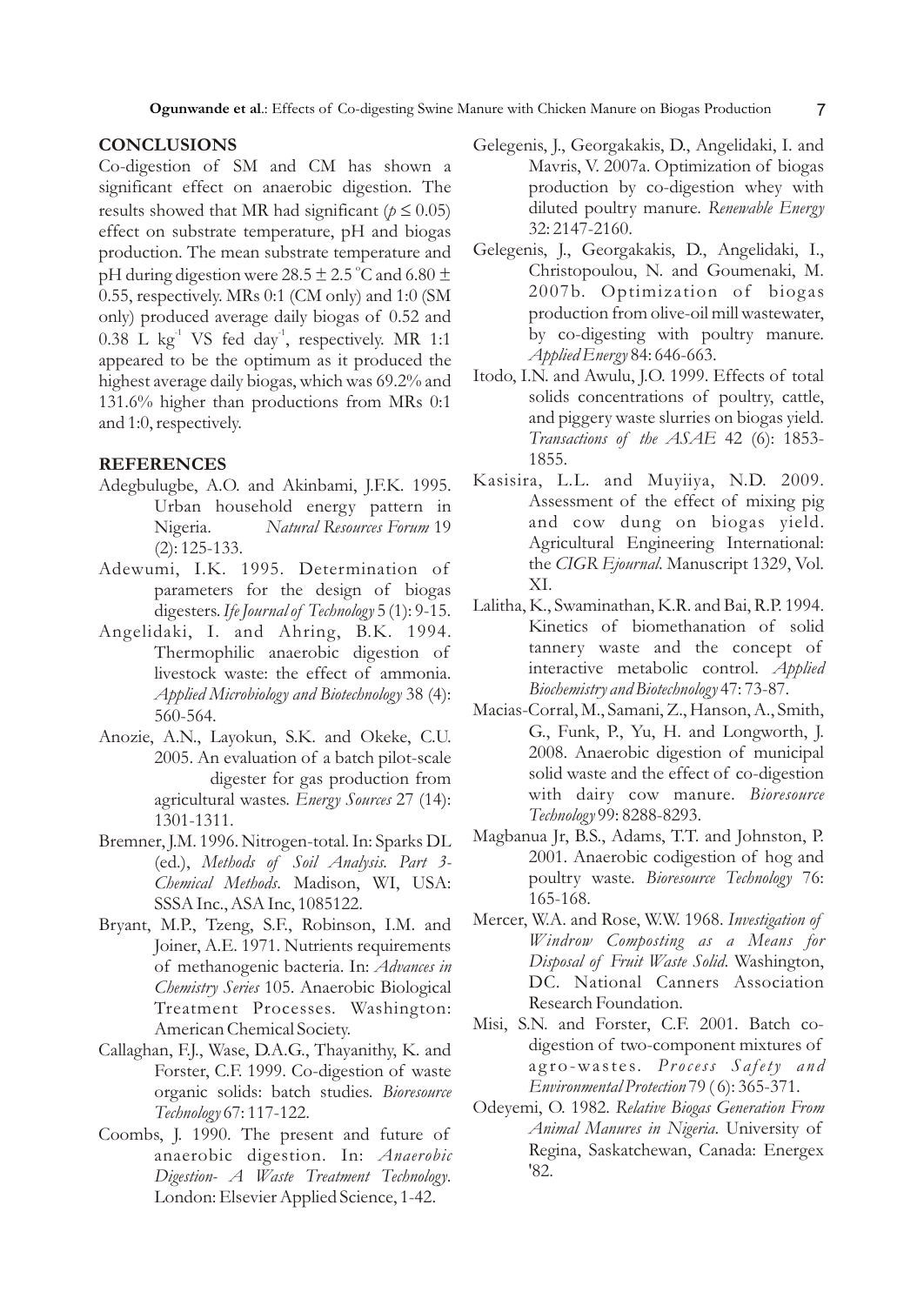## **CONCLUSIONS**

Co-digestion of SM and CM has shown a significant effect on anaerobic digestion. The results showed that MR had significant  $(p \ 0.05)$ effect on substrate temperature, pH and biogas production. The mean substrate temperature and pH during digestion were 28.5  $\pm$  2.5 °C and 6.80  $\pm$ 0.55, respectively. MRs 0:1 (CM only) and 1:0 (SM only) produced average daily biogas of 0.52 and  $0.38$  L kg<sup>-1</sup> VS fed day<sup>-1</sup>, respectively. MR 1:1 appeared to be the optimum as it produced the highest average daily biogas, which was 69.2% and 131.6% higher than productions from MRs 0:1 and 1:0, respectively.

### **REFERENCES**

- Adegbulugbe, A.O. and Akinbami, J.F.K. 1995. Urban household energy pattern in Nigeria. *Natural Resources Forum* 19 (2): 125-133.
- Adewumi, I.K. 1995. Determination of parameters for the design of biogas digesters. *Ife Journal of Technology* 5 (1): 9-15.
- Angelidaki, I. and Ahring, B.K. 1994. Thermophilic anaerobic digestion of livestock waste: the effect of ammonia. *Applied Microbiology and Biotechnology* 38 (4): 560-564.
- Anozie, A.N., Layokun, S.K. and Okeke, C.U. 2005. An evaluation of a batch pilot-scale digester for gas production from agricultural wastes. *Energy Sources* 27 (14): 1301-1311.
- Bremner, J.M. 1996. Nitrogen-total. In: Sparks DL (ed.), *Methods of Soil Analysis. Part 3- Chemical Methods*. Madison, WI, USA: SSSA Inc., ASA Inc, 1085122.
- Bryant, M.P., Tzeng, S.F., Robinson, I.M. and Joiner, A.E. 1971. Nutrients requirements of methanogenic bacteria. In: *Advances in Chemistry Series* 105. Anaerobic Biological Treatment Processes. Washington: American Chemical Society.
- Callaghan, F.J., Wase, D.A.G., Thayanithy, K. and Forster, C.F. 1999. Co-digestion of waste organic solids: batch studies. *Bioresource Technology* 67: 117-122.
- Coombs, J. 1990. The present and future of anaerobic digestion. In: *Anaerobic Digestion- A Waste Treatment Technology*. London: Elsevier Applied Science, 1-42.
- Gelegenis, J., Georgakakis, D., Angelidaki, I. and Mavris, V. 2007a. Optimization of biogas production by co-digestion whey with diluted poultry manure. *Renewable Energy* 32: 2147-2160.
- Gelegenis, J., Georgakakis, D., Angelidaki, I., Christopoulou, N. and Goumenaki, M. 2007b. Optimization of biogas production from olive-oil mill wastewater, by co-digesting with poultry manure. *Applied Energy* 84: 646-663.
- Itodo, I.N. and Awulu, J.O. 1999. Effects of total solids concentrations of poultry, cattle, and piggery waste slurries on biogas yield. *Transactions of the ASAE* 42 (6): 1853- 1855.
- Kasisira, L.L. and Muyiiya, N.D. 2009. Assessment of the effect of mixing pig and cow dung on biogas yield. Agricultural Engineering International: the *CIGR Ejournal*. Manuscript 1329, Vol. XI.
- Lalitha, K., Swaminathan, K.R. and Bai, R.P. 1994. Kinetics of biomethanation of solid tannery waste and the concept of interactive metabolic control. *Applied Biochemistry and Biotechnology* 47: 73-87.
- Macias-Corral, M., Samani, Z., Hanson, A., Smith, G., Funk, P., Yu, H. and Longworth, J. 2008. Anaerobic digestion of municipal solid waste and the effect of co-digestion with dairy cow manure. *Bioresource Technology* 99: 8288-8293.
- Magbanua Jr, B.S., Adams, T.T. and Johnston, P. 2001. Anaerobic codigestion of hog and poultry waste. *Bioresource Technology* 76: 165-168.
- Mercer, W.A. and Rose, W.W. 1968. *Investigation of Windrow Composting as a Means for Disposal of Fruit Waste Solid*. Washington, DC. National Canners Association Research Foundation.
- Misi, S.N. and Forster, C.F. 2001. Batch codigestion of two-component mixtures of ag ro-wastes. *Process Safety and Environmental Protection* 79 ( 6): 365-371.
- Odeyemi, O. 1982. *Relative Biogas Generation From Animal Manures in Nigeria*. University of Regina, Saskatchewan, Canada: Energex '82.